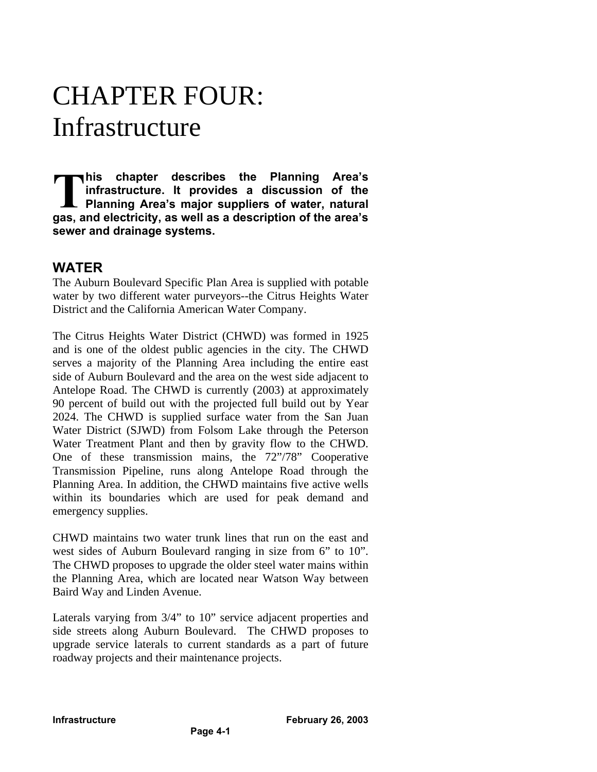# CHAPTER FOUR: Infrastructure

**his chapter describes the Planning Area's infrastructure. It provides a discussion of the Planning Area's major suppliers of water, natural** This chapter describes the Planning Area's<br>
infrastructure. It provides a discussion of the<br>
planning Area's major suppliers of water, natural<br>
gas, and electricity, as well as a description of the area's **sewer and drainage systems.**

# **WATER**

The Auburn Boulevard Specific Plan Area is supplied with potable water by two different water purveyors--the Citrus Heights Water District and the California American Water Company.

The Citrus Heights Water District (CHWD) was formed in 1925 and is one of the oldest public agencies in the city. The CHWD serves a majority of the Planning Area including the entire east side of Auburn Boulevard and the area on the west side adjacent to Antelope Road. The CHWD is currently (2003) at approximately 90 percent of build out with the projected full build out by Year 2024. The CHWD is supplied surface water from the San Juan Water District (SJWD) from Folsom Lake through the Peterson Water Treatment Plant and then by gravity flow to the CHWD. One of these transmission mains, the 72"/78" Cooperative Transmission Pipeline, runs along Antelope Road through the Planning Area. In addition, the CHWD maintains five active wells within its boundaries which are used for peak demand and emergency supplies.

CHWD maintains two water trunk lines that run on the east and west sides of Auburn Boulevard ranging in size from 6" to 10". The CHWD proposes to upgrade the older steel water mains within the Planning Area, which are located near Watson Way between Baird Way and Linden Avenue.

Laterals varying from 3/4" to 10" service adjacent properties and side streets along Auburn Boulevard. The CHWD proposes to upgrade service laterals to current standards as a part of future roadway projects and their maintenance projects.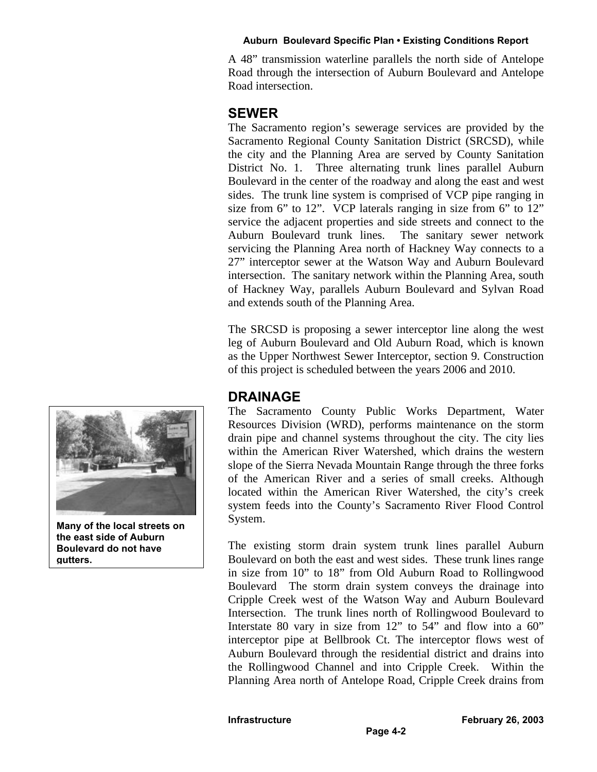#### **Auburn Boulevard Specific Plan • Existing Conditions Report**

A 48" transmission waterline parallels the north side of Antelope Road through the intersection of Auburn Boulevard and Antelope Road intersection.

# **SEWER**

The Sacramento region's sewerage services are provided by the Sacramento Regional County Sanitation District (SRCSD), while the city and the Planning Area are served by County Sanitation District No. 1. Three alternating trunk lines parallel Auburn Boulevard in the center of the roadway and along the east and west sides. The trunk line system is comprised of VCP pipe ranging in size from 6" to 12". VCP laterals ranging in size from 6" to 12" service the adjacent properties and side streets and connect to the Auburn Boulevard trunk lines. The sanitary sewer network servicing the Planning Area north of Hackney Way connects to a 27" interceptor sewer at the Watson Way and Auburn Boulevard intersection. The sanitary network within the Planning Area, south of Hackney Way, parallels Auburn Boulevard and Sylvan Road and extends south of the Planning Area.

The SRCSD is proposing a sewer interceptor line along the west leg of Auburn Boulevard and Old Auburn Road, which is known as the Upper Northwest Sewer Interceptor, section 9. Construction of this project is scheduled between the years 2006 and 2010.

# **DRAINAGE**

The Sacramento County Public Works Department, Water Resources Division (WRD), performs maintenance on the storm drain pipe and channel systems throughout the city. The city lies within the American River Watershed, which drains the western slope of the Sierra Nevada Mountain Range through the three forks of the American River and a series of small creeks. Although located within the American River Watershed, the city's creek system feeds into the County's Sacramento River Flood Control System.

The existing storm drain system trunk lines parallel Auburn Boulevard on both the east and west sides. These trunk lines range in size from 10" to 18" from Old Auburn Road to Rollingwood Boulevard The storm drain system conveys the drainage into Cripple Creek west of the Watson Way and Auburn Boulevard Intersection. The trunk lines north of Rollingwood Boulevard to Interstate 80 vary in size from 12" to 54" and flow into a 60" interceptor pipe at Bellbrook Ct. The interceptor flows west of Auburn Boulevard through the residential district and drains into the Rollingwood Channel and into Cripple Creek. Within the Planning Area north of Antelope Road, Cripple Creek drains from



**Many of the local streets on the east side of Auburn Boulevard do not have gutters.**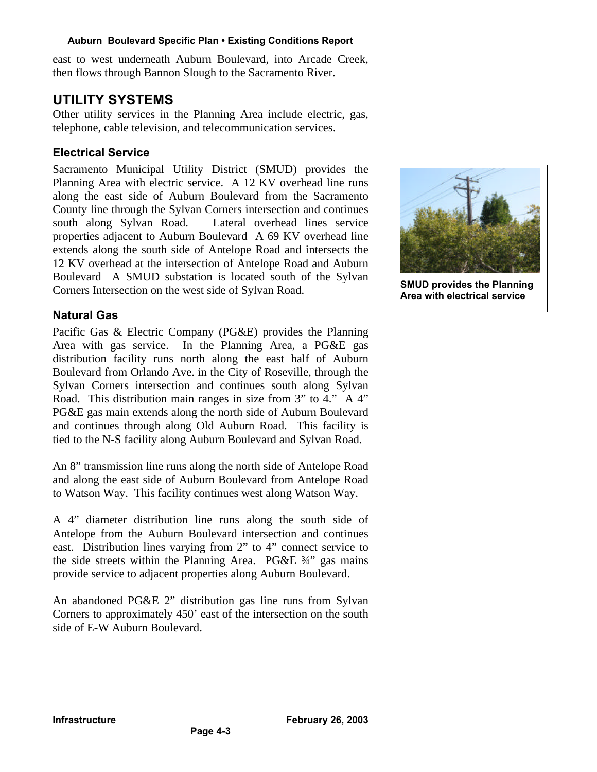#### **Auburn Boulevard Specific Plan • Existing Conditions Report**

east to west underneath Auburn Boulevard, into Arcade Creek, then flows through Bannon Slough to the Sacramento River.

# **UTILITY SYSTEMS**

Other utility services in the Planning Area include electric, gas, telephone, cable television, and telecommunication services.

# **Electrical Service**

Sacramento Municipal Utility District (SMUD) provides the Planning Area with electric service. A 12 KV overhead line runs along the east side of Auburn Boulevard from the Sacramento County line through the Sylvan Corners intersection and continues south along Sylvan Road. Lateral overhead lines service properties adjacent to Auburn Boulevard A 69 KV overhead line extends along the south side of Antelope Road and intersects the 12 KV overhead at the intersection of Antelope Road and Auburn Boulevard A SMUD substation is located south of the Sylvan Corners Intersection on the west side of Sylvan Road.

### **Natural Gas**

Pacific Gas & Electric Company (PG&E) provides the Planning Area with gas service. In the Planning Area, a PG&E gas distribution facility runs north along the east half of Auburn Boulevard from Orlando Ave. in the City of Roseville, through the Sylvan Corners intersection and continues south along Sylvan Road. This distribution main ranges in size from 3" to 4." A 4" PG&E gas main extends along the north side of Auburn Boulevard and continues through along Old Auburn Road. This facility is tied to the N-S facility along Auburn Boulevard and Sylvan Road.

An 8" transmission line runs along the north side of Antelope Road and along the east side of Auburn Boulevard from Antelope Road to Watson Way. This facility continues west along Watson Way.

A 4" diameter distribution line runs along the south side of Antelope from the Auburn Boulevard intersection and continues east. Distribution lines varying from 2" to 4" connect service to the side streets within the Planning Area. PG&E ¾" gas mains provide service to adjacent properties along Auburn Boulevard.

An abandoned PG&E 2" distribution gas line runs from Sylvan Corners to approximately 450' east of the intersection on the south side of E-W Auburn Boulevard.

**Page 4-3**



**SMUD provides the Planning Area with electrical service**